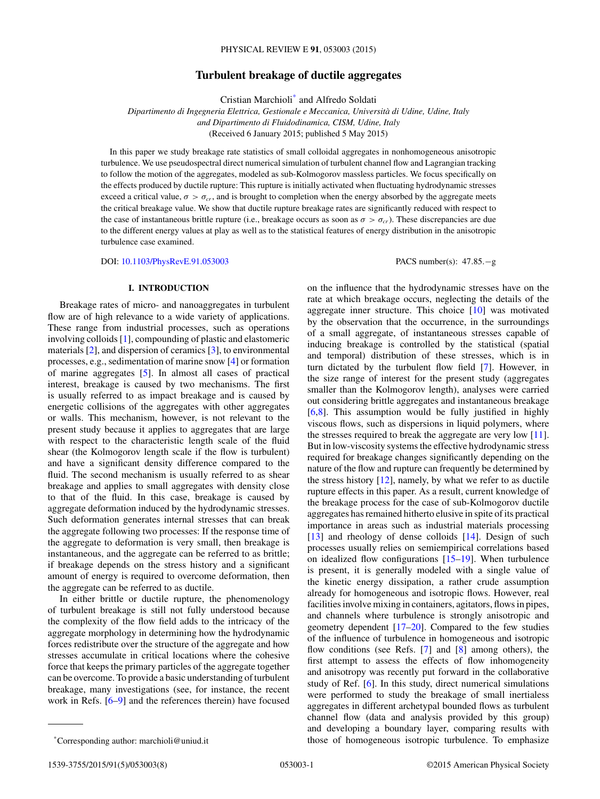# **Turbulent breakage of ductile aggregates**

Cristian Marchioli\* and Alfredo Soldati

*Dipartimento di Ingegneria Elettrica, Gestionale e Meccanica, Universita di Udine, Udine, Italy ` and Dipartimento di Fluidodinamica, CISM, Udine, Italy* (Received 6 January 2015; published 5 May 2015)

In this paper we study breakage rate statistics of small colloidal aggregates in nonhomogeneous anisotropic turbulence. We use pseudospectral direct numerical simulation of turbulent channel flow and Lagrangian tracking to follow the motion of the aggregates, modeled as sub-Kolmogorov massless particles. We focus specifically on the effects produced by ductile rupture: This rupture is initially activated when fluctuating hydrodynamic stresses exceed a critical value,  $\sigma > \sigma_{cr}$ , and is brought to completion when the energy absorbed by the aggregate meets the critical breakage value. We show that ductile rupture breakage rates are significantly reduced with respect to the case of instantaneous brittle rupture (i.e., breakage occurs as soon as  $\sigma > \sigma_{cr}$ ). These discrepancies are due to the different energy values at play as well as to the statistical features of energy distribution in the anisotropic turbulence case examined.

DOI: [10.1103/PhysRevE.91.053003](http://dx.doi.org/10.1103/PhysRevE.91.053003) PACS number(s): 47*.*85*.*−g

## **I. INTRODUCTION**

Breakage rates of micro- and nanoaggregates in turbulent flow are of high relevance to a wide variety of applications. These range from industrial processes, such as operations involving colloids [\[1\]](#page-6-0), compounding of plastic and elastomeric materials [\[2\]](#page-6-0), and dispersion of ceramics [\[3\]](#page-6-0), to environmental processes, e.g., sedimentation of marine snow [\[4\]](#page-6-0) or formation of marine aggregates [\[5\]](#page-6-0). In almost all cases of practical interest, breakage is caused by two mechanisms. The first is usually referred to as impact breakage and is caused by energetic collisions of the aggregates with other aggregates or walls. This mechanism, however, is not relevant to the present study because it applies to aggregates that are large with respect to the characteristic length scale of the fluid shear (the Kolmogorov length scale if the flow is turbulent) and have a significant density difference compared to the fluid. The second mechanism is usually referred to as shear breakage and applies to small aggregates with density close to that of the fluid. In this case, breakage is caused by aggregate deformation induced by the hydrodynamic stresses. Such deformation generates internal stresses that can break the aggregate following two processes: If the response time of the aggregate to deformation is very small, then breakage is instantaneous, and the aggregate can be referred to as brittle; if breakage depends on the stress history and a significant amount of energy is required to overcome deformation, then the aggregate can be referred to as ductile.

In either brittle or ductile rupture, the phenomenology of turbulent breakage is still not fully understood because the complexity of the flow field adds to the intricacy of the aggregate morphology in determining how the hydrodynamic forces redistribute over the structure of the aggregate and how stresses accumulate in critical locations where the cohesive force that keeps the primary particles of the aggregate together can be overcome. To provide a basic understanding of turbulent breakage, many investigations (see, for instance, the recent work in Refs. [\[6–9\]](#page-6-0) and the references therein) have focused

those of homogeneous isotropic turbulence. To emphasize

on the influence that the hydrodynamic stresses have on the rate at which breakage occurs, neglecting the details of the

aggregate inner structure. This choice [\[10\]](#page-6-0) was motivated by the observation that the occurrence, in the surroundings of a small aggregate, of instantaneous stresses capable of inducing breakage is controlled by the statistical (spatial and temporal) distribution of these stresses, which is in turn dictated by the turbulent flow field [\[7\]](#page-6-0). However, in the size range of interest for the present study (aggregates smaller than the Kolmogorov length), analyses were carried out considering brittle aggregates and instantaneous breakage  $[6,8]$ . This assumption would be fully justified in highly viscous flows, such as dispersions in liquid polymers, where the stresses required to break the aggregate are very low [\[11\]](#page-6-0). But in low-viscosity systems the effective hydrodynamic stress required for breakage changes significantly depending on the nature of the flow and rupture can frequently be determined by the stress history [\[12\]](#page-6-0), namely, by what we refer to as ductile rupture effects in this paper. As a result, current knowledge of the breakage process for the case of sub-Kolmogorov ductile aggregates has remained hitherto elusive in spite of its practical importance in areas such as industrial materials processing [\[13\]](#page-6-0) and rheology of dense colloids [\[14\]](#page-6-0). Design of such processes usually relies on semiempirical correlations based on idealized flow configurations [\[15–19\]](#page-7-0). When turbulence is present, it is generally modeled with a single value of the kinetic energy dissipation, a rather crude assumption already for homogeneous and isotropic flows. However, real facilities involve mixing in containers, agitators, flows in pipes, and channels where turbulence is strongly anisotropic and geometry dependent [\[17–20\]](#page-7-0). Compared to the few studies of the influence of turbulence in homogeneous and isotropic flow conditions (see Refs. [\[7\]](#page-6-0) and [\[8\]](#page-6-0) among others), the first attempt to assess the effects of flow inhomogeneity and anisotropy was recently put forward in the collaborative study of Ref. [\[6\]](#page-6-0). In this study, direct numerical simulations were performed to study the breakage of small inertialess aggregates in different archetypal bounded flows as turbulent channel flow (data and analysis provided by this group) and developing a boundary layer, comparing results with

<sup>\*</sup>Corresponding author: marchioli@uniud.it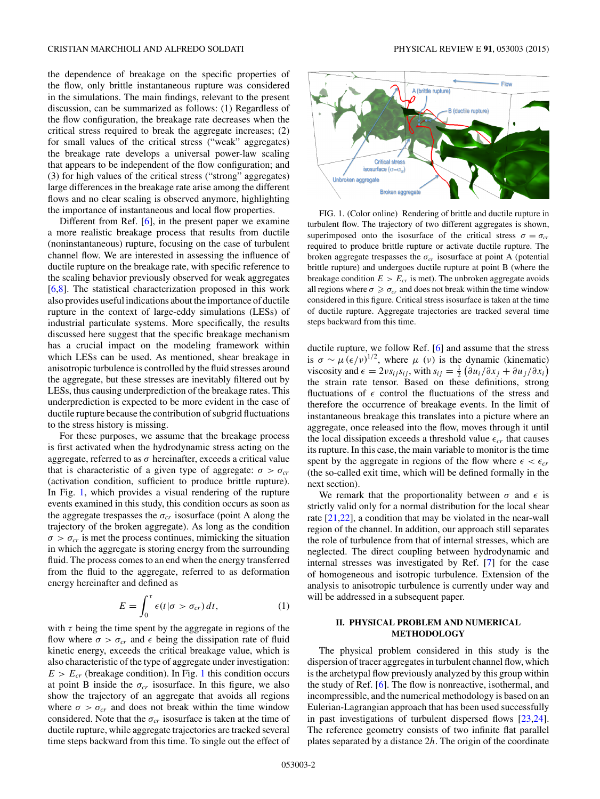## <span id="page-1-0"></span>CRISTIAN MARCHIOLI AND ALFREDO SOLDATI PHYSICAL REVIEW E **91**, 053003 (2015)

the dependence of breakage on the specific properties of the flow, only brittle instantaneous rupture was considered in the simulations. The main findings, relevant to the present discussion, can be summarized as follows: (1) Regardless of the flow configuration, the breakage rate decreases when the critical stress required to break the aggregate increases; (2) for small values of the critical stress ("weak" aggregates) the breakage rate develops a universal power-law scaling that appears to be independent of the flow configuration; and (3) for high values of the critical stress ("strong" aggregates) large differences in the breakage rate arise among the different flows and no clear scaling is observed anymore, highlighting the importance of instantaneous and local flow properties.

Different from Ref. [\[6\]](#page-6-0), in the present paper we examine a more realistic breakage process that results from ductile (noninstantaneous) rupture, focusing on the case of turbulent channel flow. We are interested in assessing the influence of ductile rupture on the breakage rate, with specific reference to the scaling behavior previously observed for weak aggregates [\[6,8\]](#page-6-0). The statistical characterization proposed in this work also provides useful indications about the importance of ductile rupture in the context of large-eddy simulations (LESs) of industrial particulate systems. More specifically, the results discussed here suggest that the specific breakage mechanism has a crucial impact on the modeling framework within which LESs can be used. As mentioned, shear breakage in anisotropic turbulence is controlled by the fluid stresses around the aggregate, but these stresses are inevitably filtered out by LESs, thus causing underprediction of the breakage rates. This underprediction is expected to be more evident in the case of ductile rupture because the contribution of subgrid fluctuations to the stress history is missing.

For these purposes, we assume that the breakage process is first activated when the hydrodynamic stress acting on the aggregate, referred to as  $\sigma$  hereinafter, exceeds a critical value that is characteristic of a given type of aggregate:  $\sigma > \sigma_{cr}$ (activation condition, sufficient to produce brittle rupture). In Fig. 1, which provides a visual rendering of the rupture events examined in this study, this condition occurs as soon as the aggregate trespasses the  $\sigma_{cr}$  isosurface (point A along the trajectory of the broken aggregate). As long as the condition  $\sigma > \sigma_{cr}$  is met the process continues, mimicking the situation in which the aggregate is storing energy from the surrounding fluid. The process comes to an end when the energy transferred from the fluid to the aggregate, referred to as deformation energy hereinafter and defined as

$$
E = \int_0^{\tau} \epsilon(t|\sigma > \sigma_{cr}) dt, \qquad (1)
$$

with  $\tau$  being the time spent by the aggregate in regions of the flow where  $\sigma > \sigma_{cr}$  and  $\epsilon$  being the dissipation rate of fluid kinetic energy, exceeds the critical breakage value, which is also characteristic of the type of aggregate under investigation:  $E > E_{cr}$  (breakage condition). In Fig. 1 this condition occurs at point B inside the  $\sigma_{cr}$  isosurface. In this figure, we also show the trajectory of an aggregate that avoids all regions where  $\sigma > \sigma_{cr}$  and does not break within the time window considered. Note that the  $\sigma_{cr}$  isosurface is taken at the time of ductile rupture, while aggregate trajectories are tracked several time steps backward from this time. To single out the effect of



FIG. 1. (Color online) Rendering of brittle and ductile rupture in turbulent flow. The trajectory of two different aggregates is shown, superimposed onto the isosurface of the critical stress  $\sigma = \sigma_{cr}$ required to produce brittle rupture or activate ductile rupture. The broken aggregate trespasses the  $\sigma_{cr}$  isosurface at point A (potential brittle rupture) and undergoes ductile rupture at point B (where the breakage condition  $E > E_{cr}$  is met). The unbroken aggregate avoids all regions where  $\sigma \geq \sigma_{cr}$  and does not break within the time window considered in this figure. Critical stress isosurface is taken at the time of ductile rupture. Aggregate trajectories are tracked several time steps backward from this time.

ductile rupture, we follow Ref. [\[6\]](#page-6-0) and assume that the stress is  $\sigma \sim \mu \left(\frac{\epsilon}{v}\right)^{1/2}$ , where  $\mu$  (*v*) is the dynamic (kinematic) viscosity and  $\epsilon = 2v s_{ij} s_{ij}$ , with  $s_{ij} = \frac{1}{2} (\partial u_i / \partial x_j + \partial u_j / \partial x_i)$ the strain rate tensor. Based on these definitions, strong fluctuations of  $\epsilon$  control the fluctuations of the stress and therefore the occurrence of breakage events. In the limit of instantaneous breakage this translates into a picture where an aggregate, once released into the flow, moves through it until the local dissipation exceeds a threshold value  $\epsilon_{cr}$  that causes its rupture. In this case, the main variable to monitor is the time spent by the aggregate in regions of the flow where  $\epsilon < \epsilon_{cr}$ (the so-called exit time, which will be defined formally in the next section).

We remark that the proportionality between  $\sigma$  and  $\epsilon$  is strictly valid only for a normal distribution for the local shear rate  $[21,22]$ , a condition that may be violated in the near-wall region of the channel. In addition, our approach still separates the role of turbulence from that of internal stresses, which are neglected. The direct coupling between hydrodynamic and internal stresses was investigated by Ref. [\[7\]](#page-6-0) for the case of homogeneous and isotropic turbulence. Extension of the analysis to anisotropic turbulence is currently under way and will be addressed in a subsequent paper.

## **II. PHYSICAL PROBLEM AND NUMERICAL METHODOLOGY**

The physical problem considered in this study is the dispersion of tracer aggregates in turbulent channel flow, which is the archetypal flow previously analyzed by this group within the study of Ref. [\[6\]](#page-6-0). The flow is nonreactive, isothermal, and incompressible, and the numerical methodology is based on an Eulerian-Lagrangian approach that has been used successfully in past investigations of turbulent dispersed flows [\[23,24\]](#page-7-0). The reference geometry consists of two infinite flat parallel plates separated by a distance 2*h*. The origin of the coordinate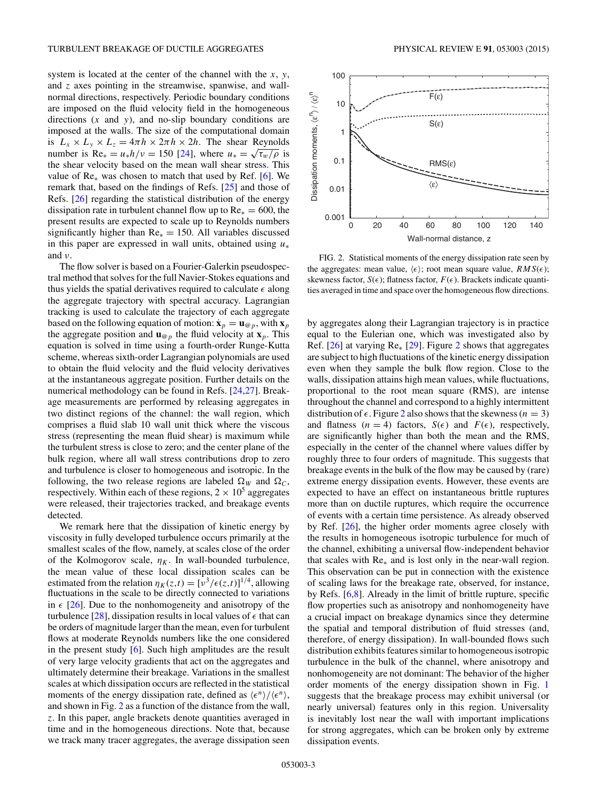system is located at the center of the channel with the *x*, *y*, and *z* axes pointing in the streamwise, spanwise, and wallnormal directions, respectively. Periodic boundary conditions are imposed on the fluid velocity field in the homogeneous directions (*x* and *y*), and no-slip boundary conditions are imposed at the walls. The size of the computational domain is  $L_x \times L_y \times L_z = 4\pi h \times 2\pi h \times 2h$ . The shear Reynolds number is Re<sub>\*</sub> =  $u_*h/v = 150$  [\[24\]](#page-7-0), where  $u_* = \sqrt{\tau_w/\rho}$  is the shear velocity based on the mean wall shear stress. This value of Re<sup>∗</sup> was chosen to match that used by Ref. [\[6\]](#page-6-0). We remark that, based on the findings of Refs. [\[25\]](#page-7-0) and those of Refs. [\[26\]](#page-7-0) regarding the statistical distribution of the energy dissipation rate in turbulent channel flow up to  $Re<sub>*</sub> = 600$ , the present results are expected to scale up to Reynolds numbers significantly higher than  $Re<sub>*</sub> = 150$ . All variables discussed in this paper are expressed in wall units, obtained using *u*<sup>∗</sup> and *ν*.

The flow solver is based on a Fourier-Galerkin pseudospectral method that solves for the full Navier-Stokes equations and thus yields the spatial derivatives required to calculate  $\epsilon$  along the aggregate trajectory with spectral accuracy. Lagrangian tracking is used to calculate the trajectory of each aggregate based on the following equation of motion:  $\dot{\mathbf{x}}_p = \mathbf{u}_{\mathcal{Q}_p}$ , with  $\mathbf{x}_p$ the aggregate position and  $\mathbf{u}_{\varphi}$  the fluid velocity at  $\mathbf{x}_p$ . This equation is solved in time using a fourth-order Runge-Kutta scheme, whereas sixth-order Lagrangian polynomials are used to obtain the fluid velocity and the fluid velocity derivatives at the instantaneous aggregate position. Further details on the numerical methodology can be found in Refs. [\[24,27\]](#page-7-0). Breakage measurements are performed by releasing aggregates in two distinct regions of the channel: the wall region, which comprises a fluid slab 10 wall unit thick where the viscous stress (representing the mean fluid shear) is maximum while the turbulent stress is close to zero; and the center plane of the bulk region, where all wall stress contributions drop to zero and turbulence is closer to homogeneous and isotropic. In the following, the two release regions are labeled  $\Omega_W$  and  $\Omega_C$ , respectively. Within each of these regions,  $2 \times 10^5$  aggregates were released, their trajectories tracked, and breakage events detected.

We remark here that the dissipation of kinetic energy by viscosity in fully developed turbulence occurs primarily at the smallest scales of the flow, namely, at scales close of the order of the Kolmogorov scale,  $\eta_K$ . In wall-bounded turbulence, the mean value of these local dissipation scales can be estimated from the relation  $\eta_K(z,t) = [v^3/\epsilon(z,t)]^{1/4}$ , allowing fluctuations in the scale to be directly connected to variations in  $\epsilon$  [\[26\]](#page-7-0). Due to the nonhomogeneity and anisotropy of the turbulence [\[28\]](#page-7-0), dissipation results in local values of  $\epsilon$  that can be orders of magnitude larger than the mean, even for turbulent flows at moderate Reynolds numbers like the one considered in the present study  $[6]$ . Such high amplitudes are the result of very large velocity gradients that act on the aggregates and ultimately determine their breakage. Variations in the smallest scales at which dissipation occurs are reflected in the statistical moments of the energy dissipation rate, defined as  $\langle \epsilon^n \rangle / \langle \epsilon^n \rangle$ , and shown in Fig. 2 as a function of the distance from the wall, *z*. In this paper, angle brackets denote quantities averaged in time and in the homogeneous directions. Note that, because we track many tracer aggregates, the average dissipation seen



FIG. 2. Statistical moments of the energy dissipation rate seen by the aggregates: mean value,  $\langle \epsilon \rangle$ ; root mean square value,  $RMS(\epsilon)$ ; skewness factor,  $S(\epsilon)$ ; flatness factor,  $F(\epsilon)$ . Brackets indicate quantities averaged in time and space over the homogeneous flow directions.

by aggregates along their Lagrangian trajectory is in practice equal to the Eulerian one, which was investigated also by Ref.  $[26]$  at varying Re $_{*}$  [\[29\]](#page-7-0). Figure 2 shows that aggregates are subject to high fluctuations of the kinetic energy dissipation even when they sample the bulk flow region. Close to the walls, dissipation attains high mean values, while fluctuations, proportional to the root mean square (RMS), are intense throughout the channel and correspond to a highly intermittent distribution of  $\epsilon$ . Figure 2 also shows that the skewness ( $n = 3$ ) and flatness  $(n = 4)$  factors,  $S(\epsilon)$  and  $F(\epsilon)$ , respectively, are significantly higher than both the mean and the RMS, especially in the center of the channel where values differ by roughly three to four orders of magnitude. This suggests that breakage events in the bulk of the flow may be caused by (rare) extreme energy dissipation events. However, these events are expected to have an effect on instantaneous brittle ruptures more than on ductile ruptures, which require the occurrence of events with a certain time persistence. As already observed by Ref. [\[26\]](#page-7-0), the higher order moments agree closely with the results in homogeneous isotropic turbulence for much of the channel, exhibiting a universal flow-independent behavior that scales with  $Re_{\ast}$  and is lost only in the near-wall region. This observation can be put in connection with the existence of scaling laws for the breakage rate, observed, for instance, by Refs. [\[6,8\]](#page-6-0). Already in the limit of brittle rupture, specific flow properties such as anisotropy and nonhomogeneity have a crucial impact on breakage dynamics since they determine the spatial and temporal distribution of fluid stresses (and, therefore, of energy dissipation). In wall-bounded flows such distribution exhibits features similar to homogeneous isotropic turbulence in the bulk of the channel, where anisotropy and nonhomogeneity are not dominant: The behavior of the higher order moments of the energy dissipation shown in Fig. [1](#page-1-0) suggests that the breakage process may exhibit universal (or nearly universal) features only in this region. Universality is inevitably lost near the wall with important implications for strong aggregates, which can be broken only by extreme dissipation events.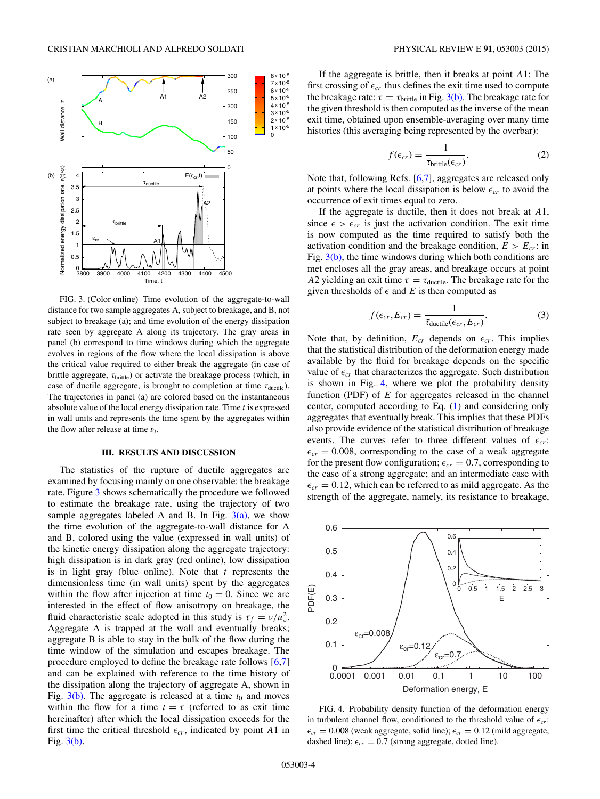<span id="page-3-0"></span>

FIG. 3. (Color online) Time evolution of the aggregate-to-wall distance for two sample aggregates A, subject to breakage, and B, not subject to breakage (a); and time evolution of the energy dissipation rate seen by aggregate A along its trajectory. The gray areas in panel (b) correspond to time windows during which the aggregate evolves in regions of the flow where the local dissipation is above the critical value required to either break the aggregate (in case of brittle aggregate, *τ*brittle) or activate the breakage process (which, in case of ductile aggregate, is brought to completion at time  $\tau_{\text{ductile}}$ ). The trajectories in panel (a) are colored based on the instantaneous absolute value of the local energy dissipation rate. Time *t* is expressed in wall units and represents the time spent by the aggregates within the flow after release at time  $t_0$ .

## **III. RESULTS AND DISCUSSION**

The statistics of the rupture of ductile aggregates are examined by focusing mainly on one observable: the breakage rate. Figure 3 shows schematically the procedure we followed to estimate the breakage rate, using the trajectory of two sample aggregates labeled A and B. In Fig.  $3(a)$ , we show the time evolution of the aggregate-to-wall distance for A and B, colored using the value (expressed in wall units) of the kinetic energy dissipation along the aggregate trajectory: high dissipation is in dark gray (red online), low dissipation is in light gray (blue online). Note that *t* represents the dimensionless time (in wall units) spent by the aggregates within the flow after injection at time  $t_0 = 0$ . Since we are interested in the effect of flow anisotropy on breakage, the fluid characteristic scale adopted in this study is  $\tau_f = v/u_*^2$ . Aggregate A is trapped at the wall and eventually breaks; aggregate B is able to stay in the bulk of the flow during the time window of the simulation and escapes breakage. The procedure employed to define the breakage rate follows [\[6,7\]](#page-6-0) and can be explained with reference to the time history of the dissipation along the trajectory of aggregate A, shown in Fig.  $3(b)$ . The aggregate is released at a time  $t_0$  and moves within the flow for a time  $t = \tau$  (referred to as exit time hereinafter) after which the local dissipation exceeds for the first time the critical threshold  $\epsilon_{cr}$ , indicated by point A1 in Fig. 3(b).

If the aggregate is brittle, then it breaks at point *A*1: The first crossing of  $\epsilon_{cr}$  thus defines the exit time used to compute the breakage rate:  $\tau = \tau_{\text{brittle}}$  in Fig. 3(b). The breakage rate for the given threshold is then computed as the inverse of the mean exit time, obtained upon ensemble-averaging over many time histories (this averaging being represented by the overbar):

$$
f(\epsilon_{cr}) = \frac{1}{\bar{\tau}_{\text{brittle}}(\epsilon_{cr})}.
$$
 (2)

Note that, following Refs. [\[6,7\]](#page-6-0), aggregates are released only at points where the local dissipation is below  $\epsilon_{cr}$  to avoid the occurrence of exit times equal to zero.

If the aggregate is ductile, then it does not break at *A*1, since  $\epsilon > \epsilon_{cr}$  is just the activation condition. The exit time is now computed as the time required to satisfy both the activation condition and the breakage condition,  $E > E_{cr}$ : in Fig.  $3(b)$ , the time windows during which both conditions are met encloses all the gray areas, and breakage occurs at point *A*2 yielding an exit time  $\tau = \tau_{\text{ductile}}$ . The breakage rate for the given thresholds of  $\epsilon$  and  $E$  is then computed as

$$
f(\epsilon_{cr}, E_{cr}) = \frac{1}{\bar{\tau}_{\text{ductile}}(\epsilon_{cr}, E_{cr})}.
$$
 (3)

Note that, by definition,  $E_{cr}$  depends on  $\epsilon_{cr}$ . This implies that the statistical distribution of the deformation energy made available by the fluid for breakage depends on the specific value of  $\epsilon_{cr}$  that characterizes the aggregate. Such distribution is shown in Fig. 4, where we plot the probability density function (PDF) of *E* for aggregates released in the channel center, computed according to Eq. [\(1\)](#page-1-0) and considering only aggregates that eventually break. This implies that these PDFs also provide evidence of the statistical distribution of breakage events. The curves refer to three different values of  $\epsilon_{cr}$ :  $\epsilon_{cr} = 0.008$ , corresponding to the case of a weak aggregate for the present flow configuration;  $\epsilon_{cr} = 0.7$ , corresponding to the case of a strong aggregate; and an intermediate case with  $\epsilon_{cr} = 0.12$ , which can be referred to as mild aggregate. As the strength of the aggregate, namely, its resistance to breakage,



FIG. 4. Probability density function of the deformation energy in turbulent channel flow, conditioned to the threshold value of  $\epsilon_{cr}$ :  $\epsilon_{cr} = 0.008$  (weak aggregate, solid line);  $\epsilon_{cr} = 0.12$  (mild aggregate, dashed line);  $\epsilon_{cr} = 0.7$  (strong aggregate, dotted line).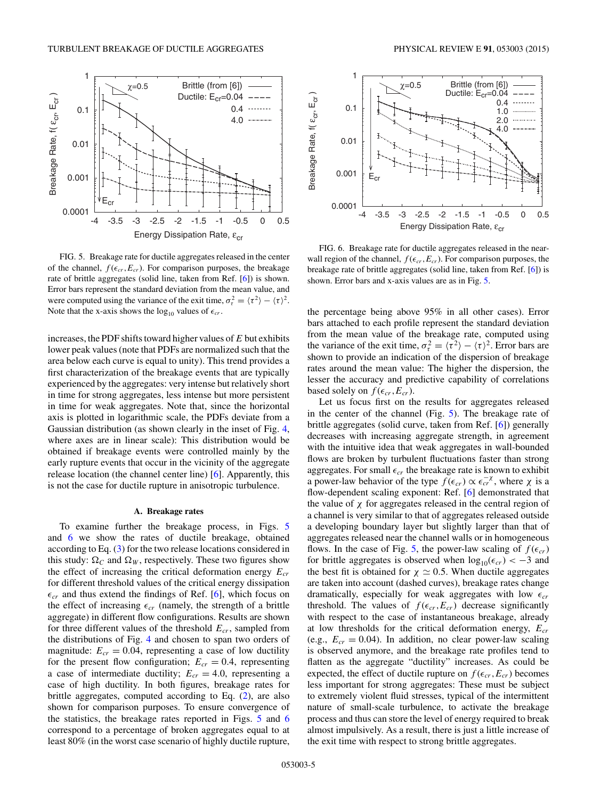<span id="page-4-0"></span>

FIG. 5. Breakage rate for ductile aggregates released in the center of the channel,  $f(\epsilon_{cr}, E_{cr})$ . For comparison purposes, the breakage rate of brittle aggregates (solid line, taken from Ref. [\[6\]](#page-6-0)) is shown. Error bars represent the standard deviation from the mean value, and were computed using the variance of the exit time,  $\sigma_{\tau}^2 = \langle \tau^2 \rangle - \langle \tau \rangle^2$ . Note that the x-axis shows the  $log_{10}$  values of  $\epsilon_{cr}$ .

increases, the PDF shifts toward higher values of *E* but exhibits lower peak values (note that PDFs are normalized such that the area below each curve is equal to unity). This trend provides a first characterization of the breakage events that are typically experienced by the aggregates: very intense but relatively short in time for strong aggregates, less intense but more persistent in time for weak aggregates. Note that, since the horizontal axis is plotted in logarithmic scale, the PDFs deviate from a Gaussian distribution (as shown clearly in the inset of Fig. [4,](#page-3-0) where axes are in linear scale): This distribution would be obtained if breakage events were controlled mainly by the early rupture events that occur in the vicinity of the aggregate release location (the channel center line) [\[6\]](#page-6-0). Apparently, this is not the case for ductile rupture in anisotropic turbulence.

## **A. Breakage rates**

To examine further the breakage process, in Figs. 5 and 6 we show the rates of ductile breakage, obtained according to Eq. [\(3\)](#page-3-0) for the two release locations considered in this study:  $\Omega_C$  and  $\Omega_W$ , respectively. These two figures show the effect of increasing the critical deformation energy *Ecr* for different threshold values of the critical energy dissipation  $\epsilon_{cr}$  and thus extend the findings of Ref. [\[6\]](#page-6-0), which focus on the effect of increasing  $\epsilon_{cr}$  (namely, the strength of a brittle aggregate) in different flow configurations. Results are shown for three different values of the threshold  $E_{cr}$ , sampled from the distributions of Fig. [4](#page-3-0) and chosen to span two orders of magnitude:  $E_{cr} = 0.04$ , representing a case of low ductility for the present flow configuration;  $E_{cr} = 0.4$ , representing a case of intermediate ductility;  $E_{cr} = 4.0$ , representing a case of high ductility. In both figures, breakage rates for brittle aggregates, computed according to Eq. [\(2\)](#page-3-0), are also shown for comparison purposes. To ensure convergence of the statistics, the breakage rates reported in Figs. 5 and 6 correspond to a percentage of broken aggregates equal to at least 80% (in the worst case scenario of highly ductile rupture,



FIG. 6. Breakage rate for ductile aggregates released in the nearwall region of the channel,  $f(\epsilon_{cr}, E_{cr})$ . For comparison purposes, the breakage rate of brittle aggregates (solid line, taken from Ref. [\[6\]](#page-6-0)) is shown. Error bars and x-axis values are as in Fig. 5.

the percentage being above 95% in all other cases). Error bars attached to each profile represent the standard deviation from the mean value of the breakage rate, computed using the variance of the exit time,  $\sigma_{\tau}^2 = \langle \tau^2 \rangle - \langle \tau \rangle^2$ . Error bars are shown to provide an indication of the dispersion of breakage rates around the mean value: The higher the dispersion, the lesser the accuracy and predictive capability of correlations based solely on  $f(\epsilon_{cr}, E_{cr})$ .

Let us focus first on the results for aggregates released in the center of the channel (Fig. 5). The breakage rate of brittle aggregates (solid curve, taken from Ref. [\[6\]](#page-6-0)) generally decreases with increasing aggregate strength, in agreement with the intuitive idea that weak aggregates in wall-bounded flows are broken by turbulent fluctuations faster than strong aggregates. For small  $\epsilon_{cr}$  the breakage rate is known to exhibit a power-law behavior of the type  $f(\epsilon_{cr}) \propto \epsilon_{cr}^{-\chi}$ , where *χ* is a flow-dependent scaling exponent: Ref. [\[6\]](#page-6-0) demonstrated that the value of  $\chi$  for aggregates released in the central region of a channel is very similar to that of aggregates released outside a developing boundary layer but slightly larger than that of aggregates released near the channel walls or in homogeneous flows. In the case of Fig. 5, the power-law scaling of  $f(\epsilon_{cr})$ for brittle aggregates is observed when  $log_{10}(\epsilon_{cr}) < -3$  and the best fit is obtained for  $\chi \simeq 0.5$ . When ductile aggregates are taken into account (dashed curves), breakage rates change dramatically, especially for weak aggregates with low  $\epsilon_{cr}$ threshold. The values of  $f(\epsilon_{cr}, E_{cr})$  decrease significantly with respect to the case of instantaneous breakage, already at low thresholds for the critical deformation energy, *Ecr* (e.g.,  $E_{cr} = 0.04$ ). In addition, no clear power-law scaling is observed anymore, and the breakage rate profiles tend to flatten as the aggregate "ductility" increases. As could be expected, the effect of ductile rupture on  $f(\epsilon_{cr}, E_{cr})$  becomes less important for strong aggregates: These must be subject to extremely violent fluid stresses, typical of the intermittent nature of small-scale turbulence, to activate the breakage process and thus can store the level of energy required to break almost impulsively. As a result, there is just a little increase of the exit time with respect to strong brittle aggregates.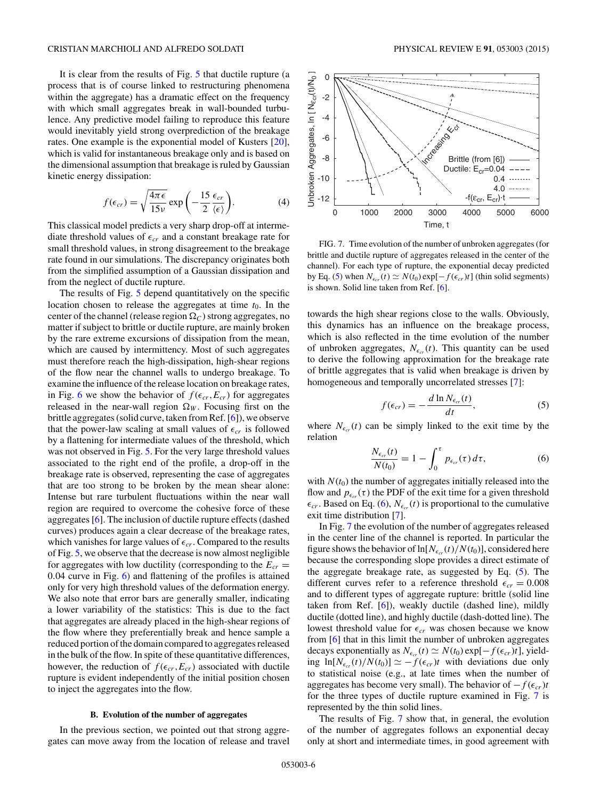## <span id="page-5-0"></span>CRISTIAN MARCHIOLI AND ALFREDO SOLDATI PHYSICAL REVIEW E **91**, 053003 (2015)

It is clear from the results of Fig. [5](#page-4-0) that ductile rupture (a process that is of course linked to restructuring phenomena within the aggregate) has a dramatic effect on the frequency with which small aggregates break in wall-bounded turbulence. Any predictive model failing to reproduce this feature would inevitably yield strong overprediction of the breakage rates. One example is the exponential model of Kusters [\[20\]](#page-7-0), which is valid for instantaneous breakage only and is based on the dimensional assumption that breakage is ruled by Gaussian kinetic energy dissipation:

$$
f(\epsilon_{cr}) = \sqrt{\frac{4\pi\epsilon}{15\nu}} \exp\left(-\frac{15}{2}\frac{\epsilon_{cr}}{\langle\epsilon\rangle}\right).
$$
 (4)

This classical model predicts a very sharp drop-off at intermediate threshold values of  $\epsilon_{cr}$  and a constant breakage rate for small threshold values, in strong disagreement to the breakage rate found in our simulations. The discrepancy originates both from the simplified assumption of a Gaussian dissipation and from the neglect of ductile rupture.

The results of Fig. [5](#page-4-0) depend quantitatively on the specific location chosen to release the aggregates at time  $t_0$ . In the center of the channel (release region  $\Omega_c$ ) strong aggregates, no matter if subject to brittle or ductile rupture, are mainly broken by the rare extreme excursions of dissipation from the mean, which are caused by intermittency. Most of such aggregates must therefore reach the high-dissipation, high-shear regions of the flow near the channel walls to undergo breakage. To examine the influence of the release location on breakage rates, in Fig. [6](#page-4-0) we show the behavior of  $f(\epsilon_{cr}, E_{cr})$  for aggregates released in the near-wall region  $\Omega_W$ . Focusing first on the brittle aggregates (solid curve, taken from Ref. [\[6\]](#page-6-0)), we observe that the power-law scaling at small values of  $\epsilon_{cr}$  is followed by a flattening for intermediate values of the threshold, which was not observed in Fig. [5.](#page-4-0) For the very large threshold values associated to the right end of the profile, a drop-off in the breakage rate is observed, representing the case of aggregates that are too strong to be broken by the mean shear alone: Intense but rare turbulent fluctuations within the near wall region are required to overcome the cohesive force of these aggregates [\[6\]](#page-6-0). The inclusion of ductile rupture effects (dashed curves) produces again a clear decrease of the breakage rates, which vanishes for large values of  $\epsilon_{cr}$ . Compared to the results of Fig. [5,](#page-4-0) we observe that the decrease is now almost negligible for aggregates with low ductility (corresponding to the  $E_{cr}$  = 0*.*04 curve in Fig. [6\)](#page-4-0) and flattening of the profiles is attained only for very high threshold values of the deformation energy. We also note that error bars are generally smaller, indicating a lower variability of the statistics: This is due to the fact that aggregates are already placed in the high-shear regions of the flow where they preferentially break and hence sample a reduced portion of the domain compared to aggregates released in the bulk of the flow. In spite of these quantitative differences, however, the reduction of  $f(\epsilon_{cr}, E_{cr})$  associated with ductile rupture is evident independently of the initial position chosen to inject the aggregates into the flow.

## **B. Evolution of the number of aggregates**

In the previous section, we pointed out that strong aggregates can move away from the location of release and travel



FIG. 7. Time evolution of the number of unbroken aggregates (for brittle and ductile rupture of aggregates released in the center of the channel). For each type of rupture, the exponential decay predicted by Eq. (5) when  $N_{\epsilon_{cr}}(t) \simeq N(t_0) \exp[-f(\epsilon_{cr})t]$  (thin solid segments) is shown. Solid line taken from Ref. [\[6\]](#page-6-0).

towards the high shear regions close to the walls. Obviously, this dynamics has an influence on the breakage process, which is also reflected in the time evolution of the number of unbroken aggregates,  $N_{\epsilon_{cr}}(t)$ . This quantity can be used to derive the following approximation for the breakage rate of brittle aggregates that is valid when breakage is driven by homogeneous and temporally uncorrelated stresses [\[7\]](#page-6-0):

$$
f(\epsilon_{cr}) = -\frac{d \ln N_{\epsilon_{cr}}(t)}{dt},\tag{5}
$$

where  $N_{\epsilon_{cr}}(t)$  can be simply linked to the exit time by the relation

$$
\frac{N_{\epsilon_{cr}}(t)}{N(t_0)} = 1 - \int_0^{\tau} p_{\epsilon_{cr}}(\tau) d\tau,
$$
\n(6)

with  $N(t_0)$  the number of aggregates initially released into the flow and  $p_{\epsilon_{cr}}(\tau)$  the PDF of the exit time for a given threshold  $\epsilon_{cr}$ . Based on Eq. (6),  $N_{\epsilon_{cr}}(t)$  is proportional to the cumulative exit time distribution [\[7\]](#page-6-0).

In Fig. 7 the evolution of the number of aggregates released in the center line of the channel is reported. In particular the figure shows the behavior of  $\ln[N_{\epsilon_r}(t)/N(t_0)]$ , considered here because the corresponding slope provides a direct estimate of the aggregate breakage rate, as suggested by Eq. (5). The different curves refer to a reference threshold  $\epsilon_{cr} = 0.008$ and to different types of aggregate rupture: brittle (solid line taken from Ref. [\[6\]](#page-6-0)), weakly ductile (dashed line), mildly ductile (dotted line), and highly ductile (dash-dotted line). The lowest threshold value for  $\epsilon_{cr}$  was chosen because we know from [\[6\]](#page-6-0) that in this limit the number of unbroken aggregates decays exponentially as  $N_{\epsilon_{cr}}(t) \simeq N(t_0) \exp[-f(\epsilon_{cr})t]$ , yielding  $\ln[N_{\epsilon_{cr}}(t)/N(t_0)] \simeq -f(\epsilon_{cr})t$  with deviations due only to statistical noise (e.g., at late times when the number of aggregates has become very small). The behavior of  $-f(\epsilon_{cr})t$ for the three types of ductile rupture examined in Fig. 7 is represented by the thin solid lines.

The results of Fig. 7 show that, in general, the evolution of the number of aggregates follows an exponential decay only at short and intermediate times, in good agreement with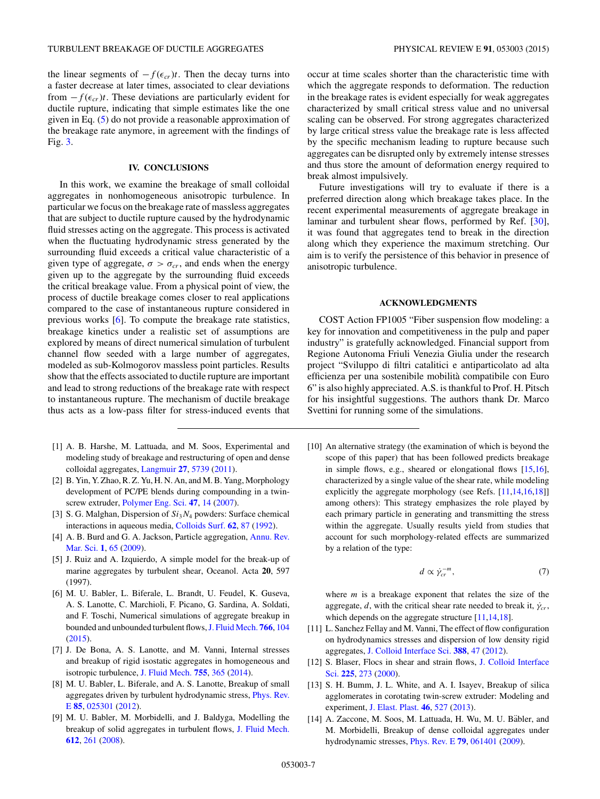<span id="page-6-0"></span>the linear segments of  $-f(\epsilon_{cr})t$ . Then the decay turns into a faster decrease at later times, associated to clear deviations from  $-f(\epsilon_{cr})t$ . These deviations are particularly evident for ductile rupture, indicating that simple estimates like the one given in Eq. [\(5\)](#page-5-0) do not provide a reasonable approximation of the breakage rate anymore, in agreement with the findings of Fig. [3.](#page-3-0)

# **IV. CONCLUSIONS**

In this work, we examine the breakage of small colloidal aggregates in nonhomogeneous anisotropic turbulence. In particular we focus on the breakage rate of massless aggregates that are subject to ductile rupture caused by the hydrodynamic fluid stresses acting on the aggregate. This process is activated when the fluctuating hydrodynamic stress generated by the surrounding fluid exceeds a critical value characteristic of a given type of aggregate,  $\sigma > \sigma_{cr}$ , and ends when the energy given up to the aggregate by the surrounding fluid exceeds the critical breakage value. From a physical point of view, the process of ductile breakage comes closer to real applications compared to the case of instantaneous rupture considered in previous works [6]. To compute the breakage rate statistics, breakage kinetics under a realistic set of assumptions are explored by means of direct numerical simulation of turbulent channel flow seeded with a large number of aggregates, modeled as sub-Kolmogorov massless point particles. Results show that the effects associated to ductile rupture are important and lead to strong reductions of the breakage rate with respect to instantaneous rupture. The mechanism of ductile breakage thus acts as a low-pass filter for stress-induced events that

- [1] A. B. Harshe, M. Lattuada, and M. Soos, Experimental and modeling study of breakage and restructuring of open and dense colloidal aggregates, [Langmuir](http://dx.doi.org/10.1021/la1046589) **[27](http://dx.doi.org/10.1021/la1046589)**, [5739](http://dx.doi.org/10.1021/la1046589) [\(2011\)](http://dx.doi.org/10.1021/la1046589).
- [2] B. Yin, Y. Zhao, R. Z. Yu, H. N. An, and M. B. Yang, Morphology development of PC/PE blends during compounding in a twinscrew extruder, [Polymer Eng. Sci.](http://dx.doi.org/10.1002/pen.20663) **[47](http://dx.doi.org/10.1002/pen.20663)**, [14](http://dx.doi.org/10.1002/pen.20663) [\(2007\)](http://dx.doi.org/10.1002/pen.20663).
- [3] S. G. Malghan, Dispersion of *Si*3*N*<sup>4</sup> powders: Surface chemical interactions in aqueous media, [Colloids Surf.](http://dx.doi.org/10.1016/0166-6622(92)80039-5) **[62](http://dx.doi.org/10.1016/0166-6622(92)80039-5)**, [87](http://dx.doi.org/10.1016/0166-6622(92)80039-5) [\(1992\)](http://dx.doi.org/10.1016/0166-6622(92)80039-5).
- [4] [A. B. Burd and G. A. Jackson, Particle aggregation,](http://dx.doi.org/10.1146/annurev.marine.010908.163904) Annu. Rev. Mar. Sci. **[1](http://dx.doi.org/10.1146/annurev.marine.010908.163904)**, [65](http://dx.doi.org/10.1146/annurev.marine.010908.163904) [\(2009\)](http://dx.doi.org/10.1146/annurev.marine.010908.163904).
- [5] J. Ruiz and A. Izquierdo, A simple model for the break-up of marine aggregates by turbulent shear, Oceanol. Acta **20**, 597 (1997).
- [6] M. U. Babler, L. Biferale, L. Brandt, U. Feudel, K. Guseva, A. S. Lanotte, C. Marchioli, F. Picano, G. Sardina, A. Soldati, and F. Toschi, Numerical simulations of aggregate breakup in bounded and unbounded turbulent flows,[J. Fluid Mech.](http://dx.doi.org/10.1017/jfm.2015.13) **[766](http://dx.doi.org/10.1017/jfm.2015.13)**, [104](http://dx.doi.org/10.1017/jfm.2015.13) [\(2015\)](http://dx.doi.org/10.1017/jfm.2015.13).
- [7] J. De Bona, A. S. Lanotte, and M. Vanni, Internal stresses and breakup of rigid isostatic aggregates in homogeneous and isotropic turbulence, [J. Fluid Mech.](http://dx.doi.org/10.1017/jfm.2014.421) **[755](http://dx.doi.org/10.1017/jfm.2014.421)**, [365](http://dx.doi.org/10.1017/jfm.2014.421) [\(2014\)](http://dx.doi.org/10.1017/jfm.2014.421).
- [8] M. U. Babler, L. Biferale, and A. S. Lanotte, Breakup of small [aggregates driven by turbulent hydrodynamic stress,](http://dx.doi.org/10.1103/PhysRevE.85.025301) Phys. Rev. E **[85](http://dx.doi.org/10.1103/PhysRevE.85.025301)**, [025301](http://dx.doi.org/10.1103/PhysRevE.85.025301) [\(2012\)](http://dx.doi.org/10.1103/PhysRevE.85.025301).
- [9] M. U. Babler, M. Morbidelli, and J. Baldyga, Modelling the breakup of solid aggregates in turbulent flows, [J. Fluid Mech.](http://dx.doi.org/10.1017/S002211200800298X) **[612](http://dx.doi.org/10.1017/S002211200800298X)**, [261](http://dx.doi.org/10.1017/S002211200800298X) [\(2008\)](http://dx.doi.org/10.1017/S002211200800298X).

occur at time scales shorter than the characteristic time with which the aggregate responds to deformation. The reduction in the breakage rates is evident especially for weak aggregates characterized by small critical stress value and no universal scaling can be observed. For strong aggregates characterized by large critical stress value the breakage rate is less affected by the specific mechanism leading to rupture because such aggregates can be disrupted only by extremely intense stresses and thus store the amount of deformation energy required to break almost impulsively.

Future investigations will try to evaluate if there is a preferred direction along which breakage takes place. In the recent experimental measurements of aggregate breakage in laminar and turbulent shear flows, performed by Ref. [\[30\]](#page-7-0), it was found that aggregates tend to break in the direction along which they experience the maximum stretching. Our aim is to verify the persistence of this behavior in presence of anisotropic turbulence.

## **ACKNOWLEDGMENTS**

COST Action FP1005 "Fiber suspension flow modeling: a key for innovation and competitiveness in the pulp and paper industry" is gratefully acknowledged. Financial support from Regione Autonoma Friuli Venezia Giulia under the research project "Sviluppo di filtri catalitici e antiparticolato ad alta efficienza per una sostenibile mobilita compatibile con Euro ` 6" is also highly appreciated. A.S. is thankful to Prof. H. Pitsch for his insightful suggestions. The authors thank Dr. Marco Svettini for running some of the simulations.

[10] An alternative strategy (the examination of which is beyond the scope of this paper) that has been followed predicts breakage in simple flows, e.g., sheared or elongational flows [\[15,16\]](#page-7-0), characterized by a single value of the shear rate, while modeling explicitly the aggregate morphology (see Refs. [11,14[,16,18\]](#page-7-0)] among others): This strategy emphasizes the role played by each primary particle in generating and transmitting the stress within the aggregate. Usually results yield from studies that account for such morphology-related effects are summarized by a relation of the type:

$$
d \propto \dot{\gamma}_{cr}^{-m},\tag{7}
$$

where *m* is a breakage exponent that relates the size of the aggregate, *d*, with the critical shear rate needed to break it,  $\dot{\gamma}_{cr}$ , which depends on the aggregate structure [11,14[,18\]](#page-7-0).

- [11] L. Sanchez Fellay and M. Vanni, The effect of flow configuration on hydrodynamics stresses and dispersion of low density rigid aggregates, [J. Colloid Interface Sci.](http://dx.doi.org/10.1016/j.jcis.2012.08.050) **[388](http://dx.doi.org/10.1016/j.jcis.2012.08.050)**, [47](http://dx.doi.org/10.1016/j.jcis.2012.08.050) [\(2012\)](http://dx.doi.org/10.1016/j.jcis.2012.08.050).
- [12] [S. Blaser, Flocs in shear and strain flows,](http://dx.doi.org/10.1006/jcis.1999.6671) J. Colloid Interface Sci. **[225](http://dx.doi.org/10.1006/jcis.1999.6671)**, [273](http://dx.doi.org/10.1006/jcis.1999.6671) [\(2000\)](http://dx.doi.org/10.1006/jcis.1999.6671).
- [13] S. H. Bumm, J. L. White, and A. I. Isayev, Breakup of silica agglomerates in corotating twin-screw extruder: Modeling and experiment, [J. Elast. Plast.](http://dx.doi.org/10.1177/0095244313476508) **[46](http://dx.doi.org/10.1177/0095244313476508)**, [527](http://dx.doi.org/10.1177/0095244313476508) [\(2013\)](http://dx.doi.org/10.1177/0095244313476508).
- [14] A. Zaccone, M. Soos, M. Lattuada, H. Wu, M. U. Bäbler, and M. Morbidelli, Breakup of dense colloidal aggregates under hydrodynamic stresses, [Phys. Rev. E](http://dx.doi.org/10.1103/PhysRevE.79.061401) **[79](http://dx.doi.org/10.1103/PhysRevE.79.061401)**, [061401](http://dx.doi.org/10.1103/PhysRevE.79.061401) [\(2009\)](http://dx.doi.org/10.1103/PhysRevE.79.061401).